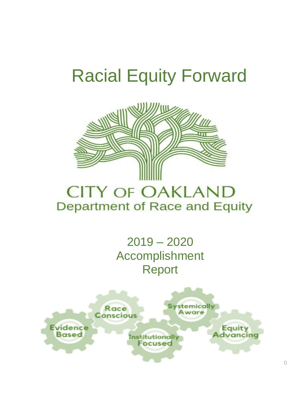# Racial Equity Forward



# **CITY OF OAKLAND** Department of Race and Equity

2019 – 2020 Accomplishment Report

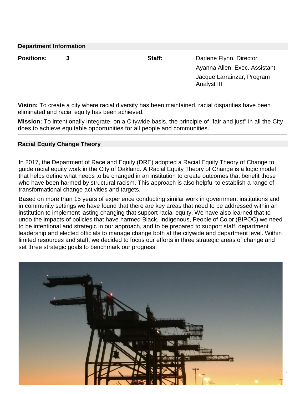| <b>Department Information</b> |  |        |                                           |  |  |  |
|-------------------------------|--|--------|-------------------------------------------|--|--|--|
| <b>Positions:</b>             |  | Staff: | Darlene Flynn, Director                   |  |  |  |
|                               |  |        | Ayanna Allen, Exec. Assistant             |  |  |  |
|                               |  |        | Jacque Larrainzar, Program<br>Analyst III |  |  |  |

**Vision:** To create a city where racial diversity has been maintained, racial disparities have been eliminated and racial equity has been achieved.

**Mission:** To intentionally integrate, on a Citywide basis, the principle of "fair and just" in all the City does to achieve equitable opportunities for all people and communities.

#### **Racial Equity Change Theory**

In 2017, the Department of Race and Equity (DRE) adopted a Racial Equity Theory of Change to guide racial equity work in the City of Oakland. A Racial Equity Theory of Change is a logic model that helps define what needs to be changed in an institution to create outcomes that benefit those who have been harmed by structural racism. This approach is also helpful to establish a range of transformational change activities and targets.

Based on more than 15 years of experience conducting similar work in government institutions and in community settings we have found that there are key areas that need to be addressed within an institution to implement lasting changing that support racial equity. We have also learned that to undo the impacts of policies that have harmed Black, Indigenous, People of Color (BIPOC) we need to be intentional and strategic in our approach, and to be prepared to support staff, department leadership and elected officials to manage change both at the citywide and department level. Within limited resources and staff, we decided to focus our efforts in three strategic areas of change and set three strategic goals to benchmark our progress.

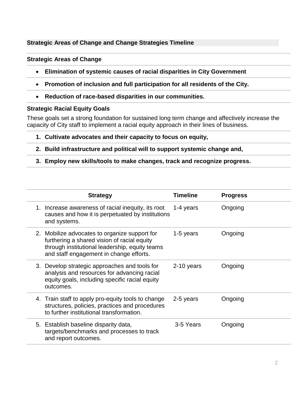#### **Strategic Areas of Change and Change Strategies Timeline**

#### **Strategic Areas of Change**

- **Elimination of systemic causes of racial disparities in City Government**
- **Promotion of inclusion and full participation for all residents of the City.**
- **Reduction of race-based disparities in our communities.**

#### **Strategic Racial Equity Goals**

These goals set a strong foundation for sustained long term change and affectively increase the capacity of City staff to implement a racial equity approach in their lines of business.

- **1. Cultivate advocates and their capacity to focus on equity,**
- **2. Build infrastructure and political will to support systemic change and,**
- **3. Employ new skills/tools to make changes, track and recognize progress.**

| <b>Strategy</b>                                                                                                                                                                           | <b>Timeline</b> | <b>Progress</b> |
|-------------------------------------------------------------------------------------------------------------------------------------------------------------------------------------------|-----------------|-----------------|
| 1. Increase awareness of racial inequity, its root<br>causes and how it is perpetuated by institutions<br>and systems.                                                                    | 1-4 years       | Ongoing         |
| 2. Mobilize advocates to organize support for<br>furthering a shared vision of racial equity<br>through institutional leadership, equity teams<br>and staff engagement in change efforts. | 1-5 years       | Ongoing         |
| 3. Develop strategic approaches and tools for<br>analysis and resources for advancing racial<br>equity goals, including specific racial equity<br>outcomes.                               | 2-10 years      | Ongoing         |
| 4. Train staff to apply pro-equity tools to change<br>structures, policies, practices and procedures<br>to further institutional transformation.                                          | 2-5 years       | Ongoing         |
| 5. Establish baseline disparity data,<br>targets/benchmarks and processes to track<br>and report outcomes.                                                                                | 3-5 Years       | Ongoing         |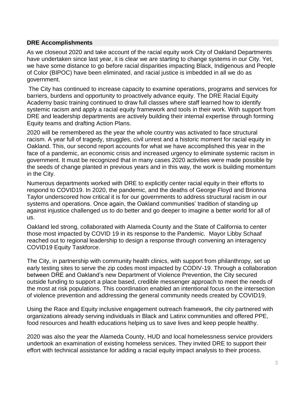#### **DRE Accomplishments**

As we closeout 2020 and take account of the racial equity work City of Oakland Departments have undertaken since last year, it is clear we are starting to change systems in our City. Yet, we have some distance to go before racial disparities impacting Black, Indigenous and People of Color (BIPOC) have been eliminated, and racial justice is imbedded in all we do as government.

The City has continued to increase capacity to examine operations, programs and services for barriers, burdens and opportunity to proactively advance equity. The DRE Racial Equity Academy basic training continued to draw full classes where staff learned how to identify systemic racism and apply a racial equity framework and tools in their work. With support from DRE and leadership departments are actively building their internal expertise through forming Equity teams and drafting Action Plans.

2020 will be remembered as the year the whole country was activated to face structural racism. A year full of tragedy, struggles, civil unrest and a historic moment for racial equity in Oakland. This, our second report accounts for what we have accomplished this year in the face of a pandemic, an economic crisis and increased urgency to eliminate systemic racism in government. It must be recognized that in many cases 2020 activities were made possible by the seeds of change planted in previous years and in this way, the work is building momentum in the City.

Numerous departments worked with DRE to explicitly center racial equity in their efforts to respond to COVID19. In 2020, the pandemic, and the deaths of George Floyd and Brionna Taylor underscored how critical it is for our governments to address structural racism in our systems and operations. Once again, the Oakland communities' tradition of standing up against injustice challenged us to do better and go deeper to imagine a better world for all of us.

Oakland led strong, collaborated with Alameda County and the State of California to center those most impacted by COVID 19 in its response to the Pandemic. Mayor Libby Schaaf reached out to regional leadership to design a response through convening an interagency COVID19 Equity Taskforce.

The City, in partnership with community health clinics, with support from philanthropy, set up early testing sites to serve the zip codes most impacted by CODIV-19. Through a collaboration between DRE and Oakland's new Department of Violence Prevention, the City secured outside funding to support a place based, credible messenger approach to meet the needs of the most at risk populations. This coordination enabled an intentional focus on the intersection of violence prevention and addressing the general community needs created by COVID19,

Using the Race and Equity inclusive engagement outreach framework, the city partnered with organizations already serving individuals in Black and Latinx communities and offered PPE, food resources and health educations helping us to save lives and keep people healthy.

2020 was also the year the Alameda County, HUD and local homelessness service providers undertook an examination of existing homeless services. They invited DRE to support their effort with technical assistance for adding a racial equity impact analysis to their process.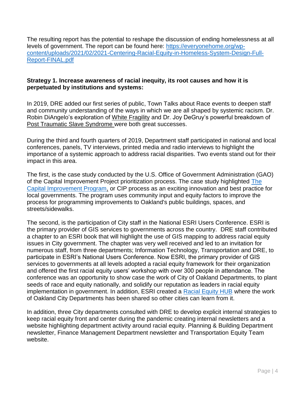The resulting report has the potential to reshape the discussion of ending homelessness at all levels of government. The report can be found here: [https://everyonehome.org/wp](https://everyonehome.org/wp-content/uploads/2021/02/2021-Centering-Racial-Equity-in-Homeless-System-Design-Full-Report-FINAL.pdf)[content/uploads/2021/02/2021-Centering-Racial-Equity-in-Homeless-System-Design-Full-](https://everyonehome.org/wp-content/uploads/2021/02/2021-Centering-Racial-Equity-in-Homeless-System-Design-Full-Report-FINAL.pdf)[Report-FINAL.pdf](https://everyonehome.org/wp-content/uploads/2021/02/2021-Centering-Racial-Equity-in-Homeless-System-Design-Full-Report-FINAL.pdf)

#### **Strategy 1. Increase awareness of racial inequity, its root causes and how it is perpetuated by institutions and systems:**

In 2019, DRE added our first series of public, Town Talks about Race events to deepen staff and community understanding of the ways in which we are all shaped by systemic racism. Dr. Robin DiAngelo's exploration of White Fragility and Dr. Joy DeGruy's powerful breakdown of Post Traumatic Slave Syndrome were both great successes.

During the third and fourth quarters of 2019, Department staff participated in national and local conferences, panels, TV interviews, printed media and radio interviews to highlight the importance of a systemic approach to address racial disparities. Two events stand out for their impact in this area.

The first, is the case study conducted by the U.S. Office of Government Administration (GAO) of the Capital Improvement Project prioritization process. The case study highlighted [The](mailto:https://cao-94612.s3.amazonaws.com/documents/CIP-One-Pager.pdf)  [Capital Improvement Program,](mailto:https://cao-94612.s3.amazonaws.com/documents/CIP-One-Pager.pdf) or CIP process as an exciting innovation and best practice for local governments. The program uses community input and equity factors to improve the process for programming improvements to Oakland's public buildings, spaces, and streets/sidewalks.

The second, is the participation of City staff in the National ESRI Users Conference. ESRI is the primary provider of GIS services to governments across the country. DRE staff contributed a chapter to an ESRI book that will highlight the use of GIS mapping to address racial equity issues in City government. The chapter was very well received and led to an invitation for numerous staff, from three departments; Information Technology, Transportation and DRE, to participate in ESRI's National Users Conference. Now ESRI, the primary provider of GIS services to governments at all levels adopted a racial equity framework for their organization and offered the first racial equity users' workshop with over 300 people in attendance. The conference was an opportunity to show case the work of City of Oakland Departments, to plant seeds of race and equity nationally, and solidify our reputation as leaders in racial equity implementation in government. In addition, ESRI created a [Racial Equity HUB](https://www.esri.com/en-us/racial-equity/overview) where the work of Oakland City Departments has been shared so other cities can learn from it.

In addition, three City departments consulted with DRE to develop explicit internal strategies to keep racial equity front and center during the pandemic creating internal newsletters and a website highlighting department activity around racial equity. Planning & Building Department newsletter, Finance Management Department newsletter and Transportation Equity Team website.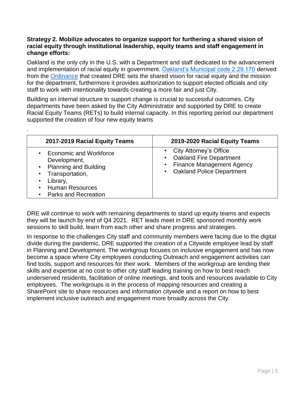#### **Strategy 2. Mobilize advocates to organize support for furthering a shared vision of racial equity through institutional leadership, equity teams and staff engagement in change efforts:**

Oakland is the only city in the U.S. with a Department and staff dedicated to the advancement and implementation of racial equity in government. [Oakland's Municipal code 2.29.170](https://library.municode.com/ca/oakland/codes/code_of_ordinances?nodeId=TIT2ADPE_CH2.29CIAGDEOF_2.29.170DERAEQ) derived from the [Ordinance](https://oakland.legistar.com/LegislationDetail.aspx?ID=2145224&GUID=5AC84BDB-2E75-468A-A655-56171FBD9BDE) that created DRE sets the shared vision for racial equity and the mission for the department, furthermore it provides authorization to support elected officials and city staff to work with intentionality towards creating a more fair and just City.

Building an internal structure to support change is crucial to successful outcomes. City departments have been asked by the City Administrator and supported by DRE to create Racial Equity Teams (RETs) to build internal capacity. In this reporting period our department supported the creation of four new equity teams

.

| 2017-2019 Racial Equity Teams                                                                                                                                                                 | 2019-2020 Racial Equity Teams                                                                                                 |
|-----------------------------------------------------------------------------------------------------------------------------------------------------------------------------------------------|-------------------------------------------------------------------------------------------------------------------------------|
| • Economic and Workforce<br>Development,<br>• Planning and Building<br>Transportation,<br>$\bullet$<br>Library,<br>$\bullet$<br><b>Human Resources</b><br>$\bullet$<br>• Parks and Recreation | • City Attorney's Office<br><b>Oakland Fire Department</b><br><b>Finance Management Agency</b><br>• Oakland Police Department |

DRE will continue to work with remaining departments to stand up equity teams and expects they will be launch by end of Q4 2021. RET leads meet in DRE sponsored monthly work sessions to skill build, learn from each other and share progress and strategies.

In response to the challenges City staff and community members were facing due to the digital divide during the pandemic, DRE supported the creation of a Citywide employee lead by staff in Planning and Development. The workgroup focuses on inclusive engagement and has now become a space where City employees conducting Outreach and engagement activities can find tools, support and resources for their work. Members of the workgroup are lending their skills and expertise at no cost to other city staff leading training on how to best reach underserved residents, facilitation of online meetings, and tools and resources available to City employees. The workgroups is in the process of mapping resources and creating a SharePoint site to share resources and information citywide and a report on how to best implement inclusive outreach and engagement more broadly across the City.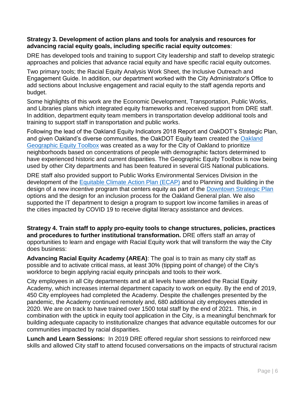#### **Strategy 3. Development of action plans and tools for analysis and resources for advancing racial equity goals, including specific racial equity outcomes**:

DRE has developed tools and training to support City leadership and staff to develop strategic approaches and policies that advance racial equity and have specific racial equity outcomes.

Two primary tools; the Racial Equity Analysis Work Sheet, the Inclusive Outreach and Engagement Guide. In addition, our department worked with the City Administrator's Office to add sections about Inclusive engagement and racial equity to the staff agenda reports and budget.

Some highlights of this work are the Economic Development, Transportation, Public Works, and Libraries plans which integrated equity frameworks and received support from DRE staff. In addition, department equity team members in transportation develop additional tools and training to support staff in transportation and public works.

Following the lead of the Oakland Equity Indicators 2018 Report and OakDOT's Strategic Plan, and given Oakland's diverse communities, the OakDOT Equity team created the [Oakland](mailto:https://www.oaklandca.gov/resources/oakdot-geographic-equity-toolbox)  [Geographic Equity Toolbox](mailto:https://www.oaklandca.gov/resources/oakdot-geographic-equity-toolbox) was created as a way for the City of Oakland to prioritize neighborhoods based on concentrations of people with demographic factors determined to have experienced historic and current disparities. The Geographic Equity Toolbox is now being used by other City departments and has been featured in several GIS National publications.

DRE staff also provided support to Public Works Environmental Services Division in the development of the [Equitable Climate Action Plan \(ECAP\)](mailto:https://www.oaklandca.gov/projects/2030ecap) and to Planning and Building in the design of a new incentive program that centers equity as part of the [Downtown Strategic Plan](https://www.oaklandca.gov/topics/downtown-oakland-specific-plan) options and the design for an inclusion process for the Oakland General plan. We also supported the IT department to design a program to support low income families in areas of the cities impacted by COVID 19 to receive digital literacy assistance and devices.

**Strategy 4. Train staff to apply pro-equity tools to change structures, policies, practices and procedures to further institutional transformation.** DRE offers staff an array of opportunities to learn and engage with Racial Equity work that will transform the way the City does business:

**Advancing Racial Equity Academy (AREA)**: The goal is to train as many city staff as possible and to activate critical mass, at least 30% (tipping point of change) of the City's workforce to begin applying racial equity principals and tools to their work.

City employees in all City departments and at all levels have attended the Racial Equity Academy, which increases internal department capacity to work on equity. By the end of 2019, 450 City employees had completed the Academy. Despite the challenges presented by the pandemic, the Academy continued remotely and, 680 additional city employees attended in 2020. We are on track to have trained over 1500 total staff by the end of 2021. This, in combination with the uptick in equity tool application in the City, is a meaningful benchmark for building adequate capacity to institutionalize changes that advance equitable outcomes for our communities impacted by racial disparities.

**Lunch and Learn Sessions:** In 2019 DRE offered regular short sessions to reinforced new skills and allowed City staff to attend focused conversations on the impacts of structural racism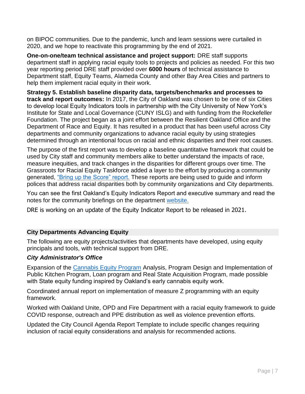on BIPOC communities. Due to the pandemic, lunch and learn sessions were curtailed in 2020, and we hope to reactivate this programming by the end of 2021.

**One-on-one/team technical assistance and project support:** DRE staff supports department staff in applying racial equity tools to projects and policies as needed. For this two year reporting period DRE staff provided over **6000 hours** of technical assistance to Department staff, Equity Teams, Alameda County and other Bay Area Cities and partners to help them implement racial equity in their work.

**Strategy 5. Establish baseline disparity data, targets/benchmarks and processes to track and report outcomes:** In 2017, the City of Oakland was chosen to be one of six Cities to develop local Equity Indicators tools in partnership with the City University of New York's Institute for State and Local Governance (CUNY ISLG) and with funding from the Rockefeller Foundation. The project began as a joint effort between the Resilient Oakland Office and the Department of Race and Equity. It has resulted in a product that has been useful across City departments and community organizations to advance racial equity by using strategies determined through an intentional focus on racial and ethnic disparities and their root causes.

The purpose of the first report was to develop a baseline quantitative framework that could be used by City staff and community members alike to better understand the impacts of race, measure inequities, and track changes in the disparities for different groups over time. The Grassroots for Racial Equity Taskforce added a layer to the effort by producing a community generated, ["Bring up the Score" report.](http://www.in-advance.org/wp-content/uploads/2019/07/BringUp_Final_ReaderSpreads.pdf) These reports are being used to guide and inform polices that address racial disparities both by community organizations and City departments.

You can see the first Oakland's Equity Indicators Report and executive summary and read the notes for the community briefings on the department [website.](https://www.oaklandca.gov/projects/oakland-equity-indicators)

DRE is working on an update of the Equity Indicator Report to be released in 2021.

# **City Departments Advancing Equity**

The following are equity projects/activities that departments have developed, using equity principals and tools, with technical support from DRE.

#### *City Administrator's Office*

Expansion of the [Cannabis Equity Program](https://bppj.berkeley.edu/2020/04/08/spring-2020-journal-engineering-equity-in-oaklands-cannabis-market/) Analysis, Program Design and Implementation of Public Kitchen Program, Loan program and Real State Acquisition Program, made possible with State equity funding inspired by Oakland's early cannabis equity work.

Coordinated annual report on implementation of measure Z programming with an equity framework.

Worked with Oakland Unite, OPD and Fire Department with a racial equity framework to guide COVID response, outreach and PPE distribution as well as violence prevention efforts.

Updated the City Council Agenda Report Template to include specific changes requiring inclusion of racial equity considerations and analysis for recommended actions.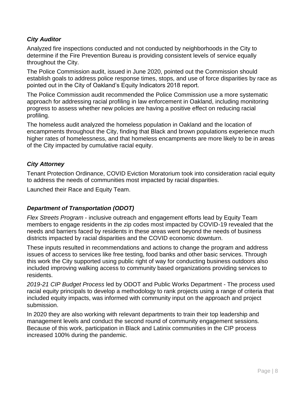# *City Auditor*

Analyzed fire inspections conducted and not conducted by neighborhoods in the City to determine if the Fire Prevention Bureau is providing consistent levels of service equally throughout the City.

The Police Commission audit, issued in June 2020, pointed out the Commission should establish goals to address police response times, stops, and use of force disparities by race as pointed out in the City of Oakland's Equity Indicators 2018 report.

The Police Commission audit recommended the Police Commission use a more systematic approach for addressing racial profiling in law enforcement in Oakland, including monitoring progress to assess whether new policies are having a positive effect on reducing racial profiling.

The homeless audit analyzed the homeless population in Oakland and the location of encampments throughout the City, finding that Black and brown populations experience much higher rates of homelessness, and that homeless encampments are more likely to be in areas of the City impacted by cumulative racial equity.

# *City Attorney*

Tenant Protection Ordinance, COVID Eviction Moratorium took into consideration racial equity to address the needs of communities most impacted by racial disparities.

Launched their Race and Equity Team.

# *Department of Transportation (ODOT)*

*Flex Streets Program* - inclusive outreach and engagement efforts lead by Equity Team members to engage residents in the zip codes most impacted by COVID-19 revealed that the needs and barriers faced by residents in these areas went beyond the needs of business districts impacted by racial disparities and the COVID economic downturn.

These inputs resulted in recommendations and actions to change the program and address issues of access to services like free testing, food banks and other basic services. Through this work the City supported using public right of way for conducting business outdoors also included improving walking access to community based organizations providing services to residents.

*2019-21 CIP Budget Process* led by ODOT and Public Works Department - The process used racial equity principals to develop a methodology to rank projects using a range of criteria that included equity impacts, was informed with community input on the approach and project submission.

In 2020 they are also working with relevant departments to train their top leadership and management levels and conduct the second round of community engagement sessions. Because of this work, participation in Black and Latinix communities in the CIP process increased 100% during the pandemic.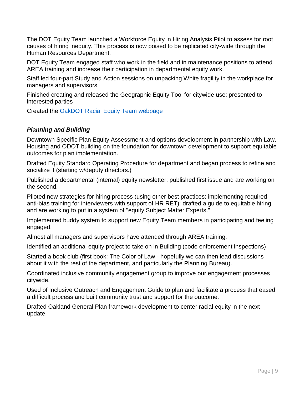The DOT Equity Team launched a Workforce Equity in Hiring Analysis Pilot to assess for root causes of hiring inequity. This process is now poised to be replicated city-wide through the Human Resources Department.

DOT Equity Team engaged staff who work in the field and in maintenance positions to attend AREA training and increase their participation in departmental equity work.

Staff led four-part Study and Action sessions on unpacking White fragility in the workplace for managers and supervisors

Finished creating and released the Geographic Equity Tool for citywide use; presented to interested parties

Created the [OakDOT Racial Equity Team](mailto:https://www.oaklandca.gov/topics/oakdot-racial-equity-team) webpage

# *Planning and Building*

Downtown Specific Plan Equity Assessment and options development in partnership with Law, Housing and ODOT building on the foundation for downtown development to support equitable outcomes for plan implementation.

Drafted Equity Standard Operating Procedure for department and began process to refine and socialize it (starting w/deputy directors.)

Published a departmental (internal) equity newsletter; published first issue and are working on the second.

Piloted new strategies for hiring process (using other best practices; implementing required anti-bias training for interviewers with support of HR RET); drafted a guide to equitable hiring and are working to put in a system of "equity Subject Matter Experts."

Implemented buddy system to support new Equity Team members in participating and feeling engaged.

Almost all managers and supervisors have attended through AREA training.

Identified an additional equity project to take on in Building (code enforcement inspections)

Started a book club (first book: The Color of Law - hopefully we can then lead discussions about it with the rest of the department, and particularly the Planning Bureau).

Coordinated inclusive community engagement group to improve our engagement processes citywide.

Used of Inclusive Outreach and Engagement Guide to plan and facilitate a process that eased a difficult process and built community trust and support for the outcome.

Drafted Oakland General Plan framework development to center racial equity in the next update.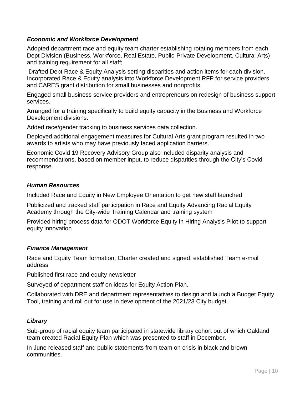### *Economic and Workforce Development*

Adopted department race and equity team charter establishing rotating members from each Dept Division (Business, Workforce, Real Estate, Public-Private Development, Cultural Arts) and training requirement for all staff;

Drafted Dept Race & Equity Analysis setting disparities and action items for each division. Incorporated Race & Equity analysis into Workforce Development RFP for service providers and CARES grant distribution for small businesses and nonprofits.

Engaged small business service providers and entrepreneurs on redesign of business support services.

Arranged for a training specifically to build equity capacity in the Business and Workforce Development divisions.

Added race/gender tracking to business services data collection.

Deployed additional engagement measures for Cultural Arts grant program resulted in two awards to artists who may have previously faced application barriers.

Economic Covid 19 Recovery Advisory Group also included disparity analysis and recommendations, based on member input, to reduce disparities through the City's Covid response.

#### *Human Resources*

Included Race and Equity in New Employee Orientation to get new staff launched

Publicized and tracked staff participation in Race and Equity Advancing Racial Equity Academy through the City-wide Training Calendar and training system

Provided hiring process data for ODOT Workforce Equity in Hiring Analysis Pilot to support equity innovation

# *Finance Management*

Race and Equity Team formation, Charter created and signed, established Team e-mail address

Published first race and equity newsletter

Surveyed of department staff on ideas for Equity Action Plan.

Collaborated with DRE and department representatives to design and launch a Budget Equity Tool, training and roll out for use in development of the 2021/23 City budget.

# *Library*

Sub-group of racial equity team participated in statewide library cohort out of which Oakland team created Racial Equity Plan which was presented to staff in December.

In June released staff and public statements from team on crisis in black and brown communities.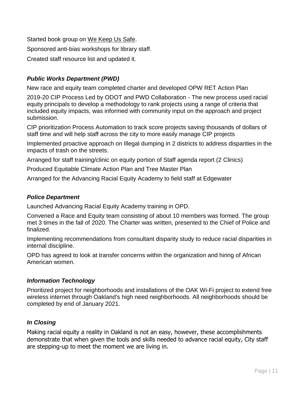Started book group on We Keep Us Safe. Sponsored anti-bias workshops for library staff. Created staff resource list and updated it.

# *Public Works Department (PWD)*

New race and equity team completed charter and developed OPW RET Action Plan

2019-20 CIP Process Led by ODOT and PWD Collaboration - The new process used racial equity principals to develop a methodology to rank projects using a range of criteria that included equity impacts, was informed with community input on the approach and project submission.

CIP prioritization Process Automation to track score projects saving thousands of dollars of staff time and will help staff across the city to more easily manage CIP projects

Implemented proactive approach on Illegal dumping in 2 districts to address disparities in the impacts of trash on the streets.

Arranged for staff training/clinic on equity portion of Staff agenda report (2 Clinics)

Produced Equitable Climate Action Plan and Tree Master Plan

Arranged for the Advancing Racial Equity Academy to field staff at Edgewater

### *Police Department*

Launched Advancing Racial Equity Academy training in OPD.

Convened a Race and Equity team consisting of about 10 members was formed. The group met 3 times in the fall of 2020. The Charter was written, presented to the Chief of Police and finalized.

Implementing recommendations from consultant disparity study to reduce racial disparities in internal discipline.

OPD has agreed to look at transfer concerns within the organization and hiring of African American women.

# *Information Technology*

Prioritized project for neighborhoods and installations of the OAK Wi-Fi project to extend free wireless internet through Oakland's high need neighborhoods. All neighborhoods should be completed by end of January 2021.

# *In Closing*

Making racial equity a reality in Oakland is not an easy, however, these accomplishments demonstrate that when given the tools and skills needed to advance racial equity, City staff are stepping-up to meet the moment we are living in.